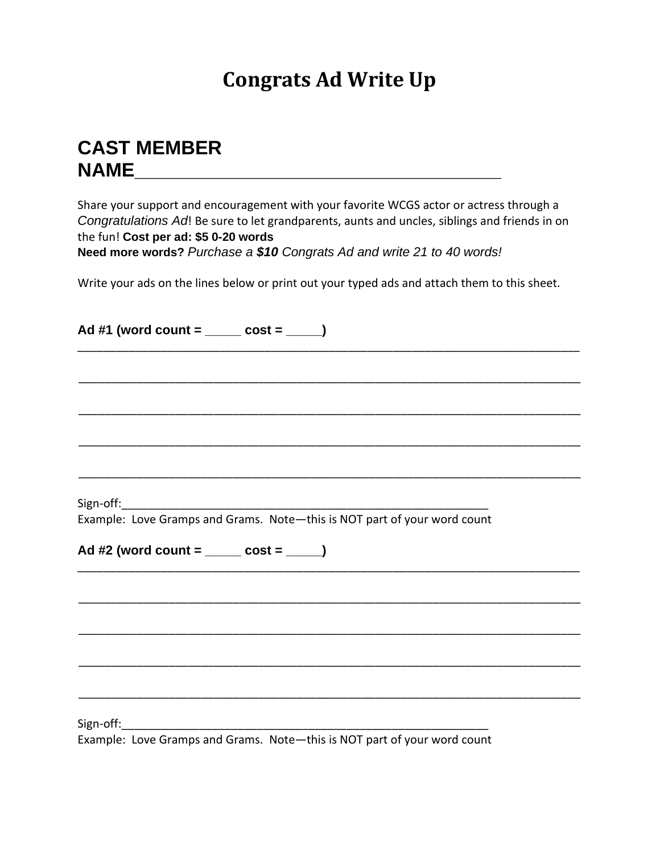## **Congrats Ad Write Up**

## **CAST MEMBER NAME\_\_\_\_\_\_\_\_\_\_\_\_\_\_\_\_\_\_\_\_\_\_\_\_\_\_\_\_\_\_\_\_\_\_**

Share your support and encouragement with your favorite WCGS actor or actress through a *Congratulations Ad*! Be sure to let grandparents, aunts and uncles, siblings and friends in on the fun! **Cost per ad: \$5 0-20 words**

**Need more words?** *Purchase a \$10 Congrats Ad and write 21 to 40 words!*

Write your ads on the lines below or print out your typed ads and attach them to this sheet.

| Ad #1 (word count = _____ cost = ____)                                   |
|--------------------------------------------------------------------------|
|                                                                          |
|                                                                          |
|                                                                          |
|                                                                          |
| Example: Love Gramps and Grams. Note-this is NOT part of your word count |
| Ad #2 (word count = _____ cost = _____)                                  |
|                                                                          |
|                                                                          |
|                                                                          |
|                                                                          |
|                                                                          |

Example: Love Gramps and Grams. Note—this is NOT part of your word count